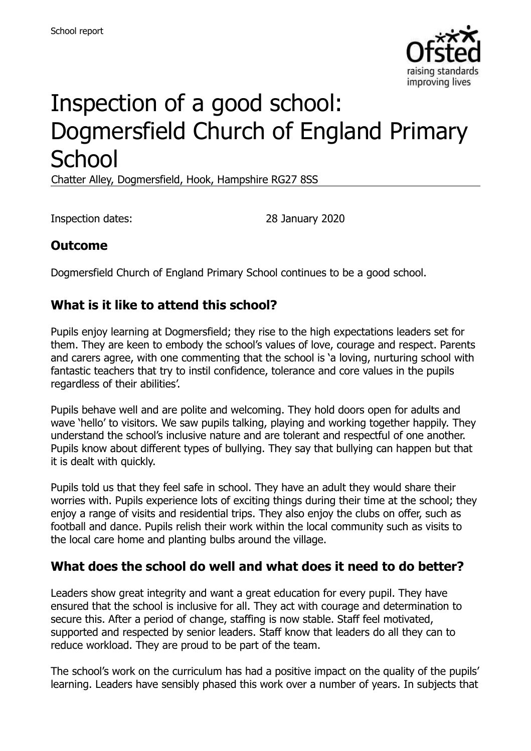

# Inspection of a good school: Dogmersfield Church of England Primary **School**

Chatter Alley, Dogmersfield, Hook, Hampshire RG27 8SS

Inspection dates: 28 January 2020

## **Outcome**

Dogmersfield Church of England Primary School continues to be a good school.

#### **What is it like to attend this school?**

Pupils enjoy learning at Dogmersfield; they rise to the high expectations leaders set for them. They are keen to embody the school's values of love, courage and respect. Parents and carers agree, with one commenting that the school is 'a loving, nurturing school with fantastic teachers that try to instil confidence, tolerance and core values in the pupils regardless of their abilities'.

Pupils behave well and are polite and welcoming. They hold doors open for adults and wave 'hello' to visitors. We saw pupils talking, playing and working together happily. They understand the school's inclusive nature and are tolerant and respectful of one another. Pupils know about different types of bullying. They say that bullying can happen but that it is dealt with quickly.

Pupils told us that they feel safe in school. They have an adult they would share their worries with. Pupils experience lots of exciting things during their time at the school; they enjoy a range of visits and residential trips. They also enjoy the clubs on offer, such as football and dance. Pupils relish their work within the local community such as visits to the local care home and planting bulbs around the village.

#### **What does the school do well and what does it need to do better?**

Leaders show great integrity and want a great education for every pupil. They have ensured that the school is inclusive for all. They act with courage and determination to secure this. After a period of change, staffing is now stable. Staff feel motivated, supported and respected by senior leaders. Staff know that leaders do all they can to reduce workload. They are proud to be part of the team.

The school's work on the curriculum has had a positive impact on the quality of the pupils' learning. Leaders have sensibly phased this work over a number of years. In subjects that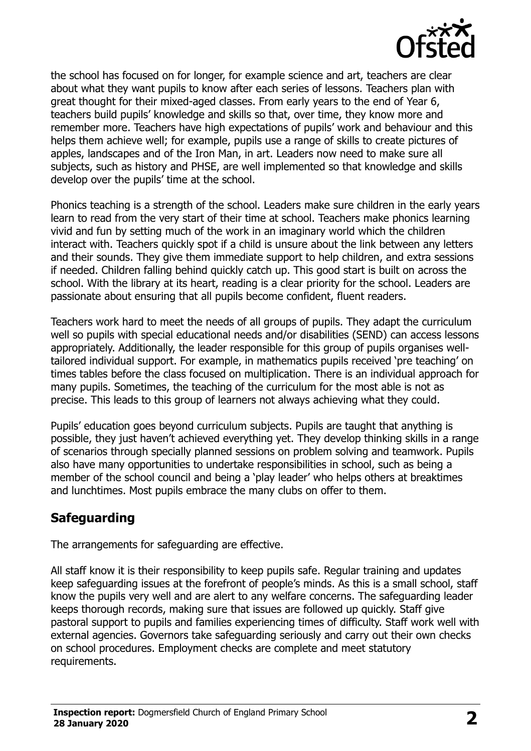

the school has focused on for longer, for example science and art, teachers are clear about what they want pupils to know after each series of lessons. Teachers plan with great thought for their mixed-aged classes. From early years to the end of Year 6, teachers build pupils' knowledge and skills so that, over time, they know more and remember more. Teachers have high expectations of pupils' work and behaviour and this helps them achieve well; for example, pupils use a range of skills to create pictures of apples, landscapes and of the Iron Man, in art. Leaders now need to make sure all subjects, such as history and PHSE, are well implemented so that knowledge and skills develop over the pupils' time at the school.

Phonics teaching is a strength of the school. Leaders make sure children in the early years learn to read from the very start of their time at school. Teachers make phonics learning vivid and fun by setting much of the work in an imaginary world which the children interact with. Teachers quickly spot if a child is unsure about the link between any letters and their sounds. They give them immediate support to help children, and extra sessions if needed. Children falling behind quickly catch up. This good start is built on across the school. With the library at its heart, reading is a clear priority for the school. Leaders are passionate about ensuring that all pupils become confident, fluent readers.

Teachers work hard to meet the needs of all groups of pupils. They adapt the curriculum well so pupils with special educational needs and/or disabilities (SEND) can access lessons appropriately. Additionally, the leader responsible for this group of pupils organises welltailored individual support. For example, in mathematics pupils received 'pre teaching' on times tables before the class focused on multiplication. There is an individual approach for many pupils. Sometimes, the teaching of the curriculum for the most able is not as precise. This leads to this group of learners not always achieving what they could.

Pupils' education goes beyond curriculum subjects. Pupils are taught that anything is possible, they just haven't achieved everything yet. They develop thinking skills in a range of scenarios through specially planned sessions on problem solving and teamwork. Pupils also have many opportunities to undertake responsibilities in school, such as being a member of the school council and being a 'play leader' who helps others at breaktimes and lunchtimes. Most pupils embrace the many clubs on offer to them.

# **Safeguarding**

The arrangements for safeguarding are effective.

All staff know it is their responsibility to keep pupils safe. Regular training and updates keep safeguarding issues at the forefront of people's minds. As this is a small school, staff know the pupils very well and are alert to any welfare concerns. The safeguarding leader keeps thorough records, making sure that issues are followed up quickly. Staff give pastoral support to pupils and families experiencing times of difficulty. Staff work well with external agencies. Governors take safeguarding seriously and carry out their own checks on school procedures. Employment checks are complete and meet statutory requirements.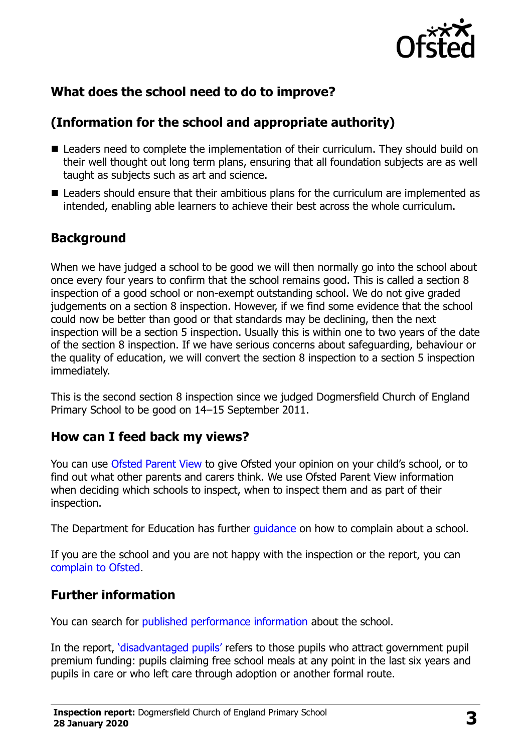

# **What does the school need to do to improve?**

# **(Information for the school and appropriate authority)**

- Leaders need to complete the implementation of their curriculum. They should build on their well thought out long term plans, ensuring that all foundation subjects are as well taught as subjects such as art and science.
- Leaders should ensure that their ambitious plans for the curriculum are implemented as intended, enabling able learners to achieve their best across the whole curriculum.

## **Background**

When we have judged a school to be good we will then normally go into the school about once every four years to confirm that the school remains good. This is called a section 8 inspection of a good school or non-exempt outstanding school. We do not give graded judgements on a section 8 inspection. However, if we find some evidence that the school could now be better than good or that standards may be declining, then the next inspection will be a section 5 inspection. Usually this is within one to two years of the date of the section 8 inspection. If we have serious concerns about safeguarding, behaviour or the quality of education, we will convert the section 8 inspection to a section 5 inspection immediately.

This is the second section 8 inspection since we judged Dogmersfield Church of England Primary School to be good on 14–15 September 2011.

#### **How can I feed back my views?**

You can use [Ofsted Parent View](https://parentview.ofsted.gov.uk/) to give Ofsted your opinion on your child's school, or to find out what other parents and carers think. We use Ofsted Parent View information when deciding which schools to inspect, when to inspect them and as part of their inspection.

The Department for Education has further [guidance](http://www.gov.uk/complain-about-school) on how to complain about a school.

If you are the school and you are not happy with the inspection or the report, you can [complain to Ofsted.](https://www.gov.uk/complain-ofsted-report)

#### **Further information**

You can search for [published performance information](http://www.compare-school-performance.service.gov.uk/) about the school.

In the report, '[disadvantaged pupils](http://www.gov.uk/guidance/pupil-premium-information-for-schools-and-alternative-provision-settings)' refers to those pupils who attract government pupil premium funding: pupils claiming free school meals at any point in the last six years and pupils in care or who left care through adoption or another formal route.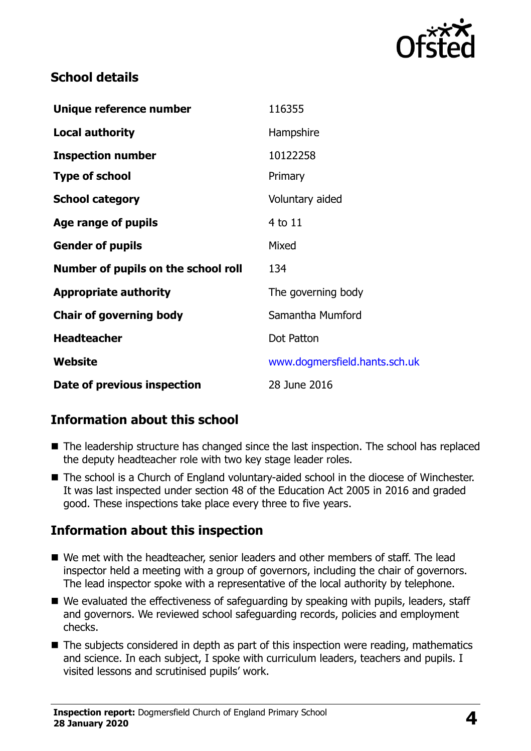

## **School details**

| Unique reference number             | 116355                        |
|-------------------------------------|-------------------------------|
| <b>Local authority</b>              | Hampshire                     |
| <b>Inspection number</b>            | 10122258                      |
| <b>Type of school</b>               | Primary                       |
| <b>School category</b>              | Voluntary aided               |
| Age range of pupils                 | 4 to 11                       |
| <b>Gender of pupils</b>             | Mixed                         |
| Number of pupils on the school roll | 134                           |
| <b>Appropriate authority</b>        | The governing body            |
| <b>Chair of governing body</b>      | Samantha Mumford              |
| <b>Headteacher</b>                  | Dot Patton                    |
| Website                             | www.dogmersfield.hants.sch.uk |
| Date of previous inspection         | 28 June 2016                  |

# **Information about this school**

- The leadership structure has changed since the last inspection. The school has replaced the deputy headteacher role with two key stage leader roles.
- The school is a Church of England voluntary-aided school in the diocese of Winchester. It was last inspected under section 48 of the Education Act 2005 in 2016 and graded good. These inspections take place every three to five years.

#### **Information about this inspection**

- We met with the headteacher, senior leaders and other members of staff. The lead inspector held a meeting with a group of governors, including the chair of governors. The lead inspector spoke with a representative of the local authority by telephone.
- We evaluated the effectiveness of safeguarding by speaking with pupils, leaders, staff and governors. We reviewed school safeguarding records, policies and employment checks.
- $\blacksquare$  The subjects considered in depth as part of this inspection were reading, mathematics and science. In each subject, I spoke with curriculum leaders, teachers and pupils. I visited lessons and scrutinised pupils' work.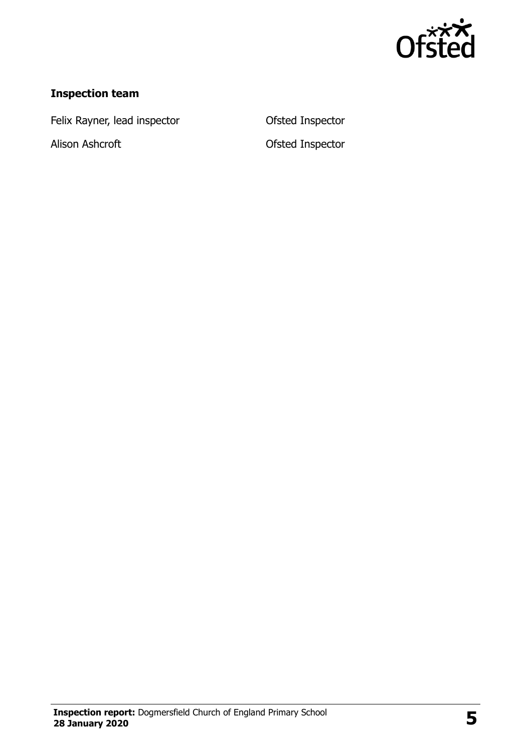

# **Inspection team**

Felix Rayner, lead inspector **CEP CONTER CONTER** Ofsted Inspector

Alison Ashcroft **Ofsted Inspector**